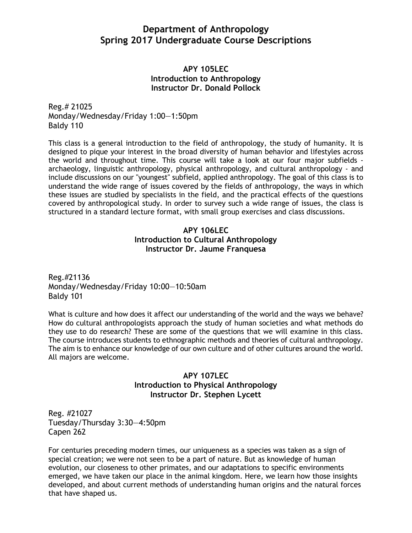# **Department of Anthropology Spring 2017 Undergraduate Course Descriptions**

## **APY 105LEC Introduction to Anthropology Instructor Dr. Donald Pollock**

Reg.# 21025 Monday/Wednesday/Friday 1:00—1:50pm Baldy 110

This class is a general introduction to the field of anthropology, the study of humanity. It is designed to pique your interest in the broad diversity of human behavior and lifestyles across the world and throughout time. This course will take a look at our four major subfields archaeology, linguistic anthropology, physical anthropology, and cultural anthropology - and include discussions on our "youngest" subfield, applied anthropology. The goal of this class is to understand the wide range of issues covered by the fields of anthropology, the ways in which these issues are studied by specialists in the field, and the practical effects of the questions covered by anthropological study. In order to survey such a wide range of issues, the class is structured in a standard lecture format, with small group exercises and class discussions.

# **APY 106LEC Introduction to Cultural Anthropology Instructor Dr. Jaume Franquesa**

Reg.#21136 Monday/Wednesday/Friday 10:00—10:50am Baldy 101

What is culture and how does it affect our understanding of the world and the ways we behave? How do cultural anthropologists approach the study of human societies and what methods do they use to do research? These are some of the questions that we will examine in this class. The course introduces students to ethnographic methods and theories of cultural anthropology. The aim is to enhance our knowledge of our own culture and of other cultures around the world. All majors are welcome.

# **APY 107LEC Introduction to Physical Anthropology Instructor Dr. Stephen Lycett**

Reg. #21027 Tuesday/Thursday 3:30—4:50pm Capen 262

For centuries preceding modern times, our uniqueness as a species was taken as a sign of special creation; we were not seen to be a part of nature. But as knowledge of human evolution, our closeness to other primates, and our adaptations to specific environments emerged, we have taken our place in the animal kingdom. Here, we learn how those insights developed, and about current methods of understanding human origins and the natural forces that have shaped us.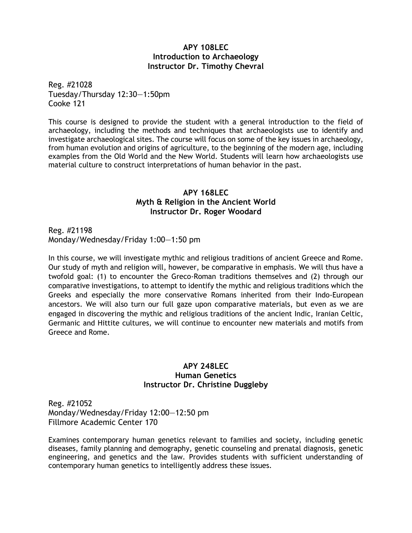### **APY 108LEC Introduction to Archaeology Instructor Dr. Timothy Chevral**

Reg. #21028 Tuesday/Thursday 12:30—1:50pm Cooke 121

This course is designed to provide the student with a general introduction to the field of archaeology, including the methods and techniques that archaeologists use to identify and investigate archaeological sites. The course will focus on some of the key issues in archaeology, from human evolution and origins of agriculture, to the beginning of the modern age, including examples from the Old World and the New World. Students will learn how archaeologists use material culture to construct interpretations of human behavior in the past.

## **APY 168LEC Myth & Religion in the Ancient World Instructor Dr. Roger Woodard**

Reg. #21198 Monday/Wednesday/Friday 1:00—1:50 pm

In this course, we will investigate mythic and religious traditions of ancient Greece and Rome. Our study of myth and religion will, however, be comparative in emphasis. We will thus have a twofold goal: (1) to encounter the Greco-Roman traditions themselves and (2) through our comparative investigations, to attempt to identify the mythic and religious traditions which the Greeks and especially the more conservative Romans inherited from their Indo-European ancestors. We will also turn our full gaze upon comparative materials, but even as we are engaged in discovering the mythic and religious traditions of the ancient Indic, Iranian Celtic, Germanic and Hittite cultures, we will continue to encounter new materials and motifs from Greece and Rome.

## **APY 248LEC Human Genetics Instructor Dr. Christine Duggleby**

Reg. #21052 Monday/Wednesday/Friday 12:00—12:50 pm Fillmore Academic Center 170

Examines contemporary human genetics relevant to families and society, including genetic diseases, family planning and demography, genetic counseling and prenatal diagnosis, genetic engineering, and genetics and the law. Provides students with sufficient understanding of contemporary human genetics to intelligently address these issues.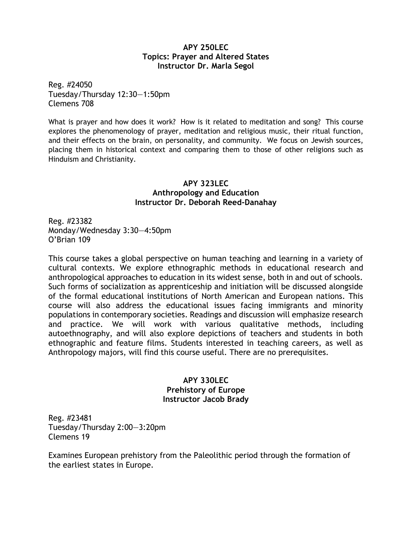## **APY 250LEC Topics: Prayer and Altered States Instructor Dr. Marla Segol**

Reg. #24050 Tuesday/Thursday 12:30—1:50pm Clemens 708

What is prayer and how does it work? How is it related to meditation and song? This course explores the phenomenology of prayer, meditation and religious music, their ritual function, and their effects on the brain, on personality, and community. We focus on Jewish sources, placing them in historical context and comparing them to those of other religions such as Hinduism and Christianity.

# **APY 323LEC Anthropology and Education Instructor Dr. Deborah Reed-Danahay**

Reg. #23382 Monday/Wednesday 3:30—4:50pm O'Brian 109

This course takes a global perspective on human teaching and learning in a variety of cultural contexts. We explore ethnographic methods in educational research and anthropological approaches to education in its widest sense, both in and out of schools. Such forms of socialization as apprenticeship and initiation will be discussed alongside of the formal educational institutions of North American and European nations. This course will also address the educational issues facing immigrants and minority populations in contemporary societies. Readings and discussion will emphasize research and practice. We will work with various qualitative methods, including autoethnography, and will also explore depictions of teachers and students in both ethnographic and feature films. Students interested in teaching careers, as well as Anthropology majors, will find this course useful. There are no prerequisites.

# **APY 330LEC Prehistory of Europe Instructor Jacob Brady**

Reg. #23481 Tuesday/Thursday 2:00—3:20pm Clemens 19

Examines European prehistory from the Paleolithic period through the formation of the earliest states in Europe.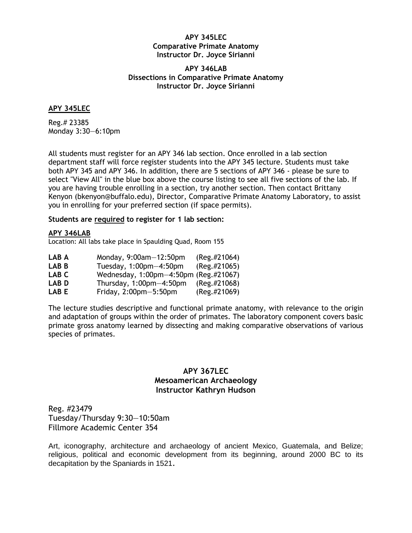#### **APY 345LEC Comparative Primate Anatomy Instructor Dr. Joyce Sirianni**

#### **APY 346LAB Dissections in Comparative Primate Anatomy Instructor Dr. Joyce Sirianni**

#### **APY 345LEC**

Reg.# 23385 Monday 3:30—6:10pm

All students must register for an APY 346 lab section. Once enrolled in a lab section department staff will force register students into the APY 345 lecture. Students must take both APY 345 and APY 346. In addition, there are 5 sections of APY 346 - please be sure to select "View All" in the blue box above the course listing to see all five sections of the lab. If you are having trouble enrolling in a section, try another section. Then contact Brittany Kenyon (bkenyon@buffalo.edu), Director, Comparative Primate Anatomy Laboratory, to assist you in enrolling for your preferred section (if space permits).

#### **Students are required to register for 1 lab section:**

#### **APY 346LAB**

Location: All labs take place in Spaulding Quad, Room 155

| LAB A | Monday, $9:00$ am $-12:50$ pm         | $(Reg. \#21064)$ |
|-------|---------------------------------------|------------------|
| LAB B | Tuesday, $1:00$ pm $-4:50$ pm         | $(Reg. \#21065)$ |
| LAB C | Wednesday, 1:00pm-4:50pm (Reg.#21067) |                  |
| LAB D | Thursday, $1:00$ pm $-4:50$ pm        | $(Reg. \#21068)$ |
| LAB E | Friday, $2:00$ pm $-5:50$ pm          | (Reg.#21069)     |

The lecture studies descriptive and functional primate anatomy, with relevance to the origin and adaptation of groups within the order of primates. The laboratory component covers basic primate gross anatomy learned by dissecting and making comparative observations of various species of primates.

## **APY 367LEC Mesoamerican Archaeology Instructor Kathryn Hudson**

Reg. #23479 Tuesday/Thursday 9:30—10:50am Fillmore Academic Center 354

Art, iconography, architecture and archaeology of ancient Mexico, Guatemala, and Belize; religious, political and economic development from its beginning, around 2000 BC to its decapitation by the Spaniards in 1521.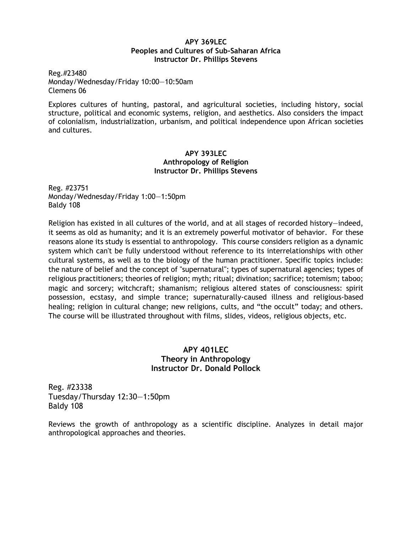#### **APY 369LEC Peoples and Cultures of Sub-Saharan Africa Instructor Dr. Phillips Stevens**

Reg.#23480 Monday/Wednesday/Friday 10:00—10:50am Clemens 06

Explores cultures of hunting, pastoral, and agricultural societies, including history, social structure, political and economic systems, religion, and aesthetics. Also considers the impact of colonialism, industrialization, urbanism, and political independence upon African societies and cultures.

#### **APY 393LEC Anthropology of Religion Instructor Dr. Phillips Stevens**

Reg. #23751 Monday/Wednesday/Friday 1:00—1:50pm Baldy 108

Religion has existed in all cultures of the world, and at all stages of recorded history—indeed, it seems as old as humanity; and it is an extremely powerful motivator of behavior. For these reasons alone its study is essential to anthropology. This course considers religion as a dynamic system which can't be fully understood without reference to its interrelationships with other cultural systems, as well as to the biology of the human practitioner. Specific topics include: the nature of belief and the concept of "supernatural"; types of supernatural agencies; types of religious practitioners; theories of religion; myth; ritual; divination; sacrifice; totemism; taboo; magic and sorcery; witchcraft; shamanism; religious altered states of consciousness: spirit possession, ecstasy, and simple trance; supernaturally-caused illness and religious-based healing; religion in cultural change; new religions, cults, and "the occult" today; and others. The course will be illustrated throughout with films, slides, videos, religious objects, etc.

## **APY 401LEC Theory in Anthropology Instructor Dr. Donald Pollock**

Reg. #23338 Tuesday/Thursday 12:30—1:50pm Baldy 108

Reviews the growth of anthropology as a scientific discipline. Analyzes in detail major anthropological approaches and theories.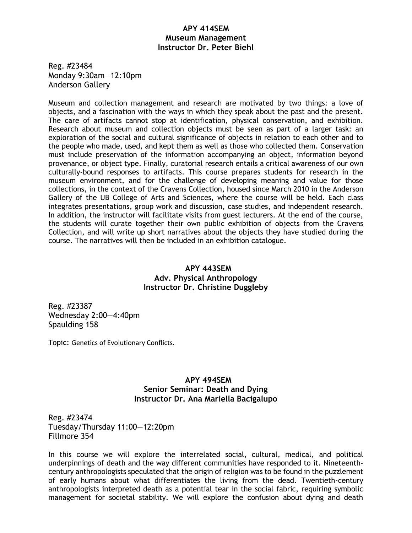#### **APY 414SEM Museum Management Instructor Dr. Peter Biehl**

Reg. #23484 Monday 9:30am—12:10pm Anderson Gallery

Museum and collection management and research are motivated by two things: a love of objects, and a fascination with the ways in which they speak about the past and the present. The care of artifacts cannot stop at identification, physical conservation, and exhibition. Research about museum and collection objects must be seen as part of a larger task: an exploration of the social and cultural significance of objects in relation to each other and to the people who made, used, and kept them as well as those who collected them. Conservation must include preservation of the information accompanying an object, information beyond provenance, or object type. Finally, curatorial research entails a critical awareness of our own culturally-bound responses to artifacts. This course prepares students for research in the museum environment, and for the challenge of developing meaning and value for those collections, in the context of the Cravens Collection, housed since March 2010 in the Anderson Gallery of the UB College of Arts and Sciences, where the course will be held. Each class integrates presentations, group work and discussion, case studies, and independent research. In addition, the instructor will facilitate visits from guest lecturers. At the end of the course, the students will curate together their own public exhibition of objects from the Cravens Collection, and will write up short narratives about the objects they have studied during the course. The narratives will then be included in an exhibition catalogue.

# **APY 443SEM Adv. Physical Anthropology Instructor Dr. Christine Duggleby**

Reg. #23387 Wednesday 2:00—4:40pm Spaulding 158

Topic: Genetics of Evolutionary Conflicts.

# **APY 494SEM Senior Seminar: Death and Dying Instructor Dr. Ana Mariella Bacigalupo**

Reg. #23474 Tuesday/Thursday 11:00—12:20pm Fillmore 354

In this course we will explore the interrelated social, cultural, medical, and political underpinnings of death and the way different communities have responded to it. Nineteenthcentury anthropologists speculated that the origin of religion was to be found in the puzzlement of early humans about what differentiates the living from the dead. Twentieth-century anthropologists interpreted death as a potential tear in the social fabric, requiring symbolic management for societal stability. We will explore the confusion about dying and death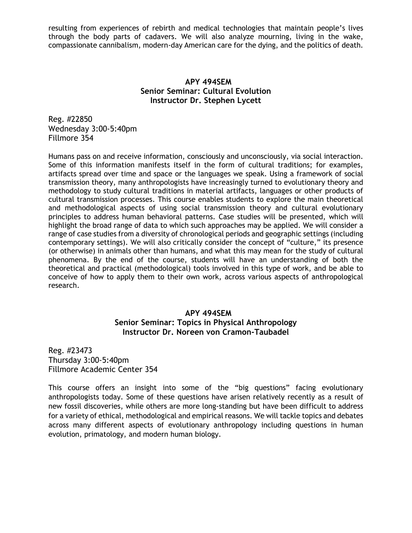resulting from experiences of rebirth and medical technologies that maintain people's lives through the body parts of cadavers. We will also analyze mourning, living in the wake, compassionate cannibalism, modern-day American care for the dying, and the politics of death.

## **APY 494SEM Senior Seminar: Cultural Evolution Instructor Dr. Stephen Lycett**

Reg. #22850 Wednesday 3:00-5:40pm Fillmore 354

Humans pass on and receive information, consciously and unconsciously, via social interaction. Some of this information manifests itself in the form of cultural traditions; for examples, artifacts spread over time and space or the languages we speak. Using a framework of social transmission theory, many anthropologists have increasingly turned to evolutionary theory and methodology to study cultural traditions in material artifacts, languages or other products of cultural transmission processes. This course enables students to explore the main theoretical and methodological aspects of using social transmission theory and cultural evolutionary principles to address human behavioral patterns. Case studies will be presented, which will highlight the broad range of data to which such approaches may be applied. We will consider a range of case studies from a diversity of chronological periods and geographic settings (including contemporary settings). We will also critically consider the concept of "culture," its presence (or otherwise) in animals other than humans, and what this may mean for the study of cultural phenomena. By the end of the course, students will have an understanding of both the theoretical and practical (methodological) tools involved in this type of work, and be able to conceive of how to apply them to their own work, across various aspects of anthropological research.

## **APY 494SEM**

### **Senior Seminar: Topics in Physical Anthropology Instructor Dr. Noreen von Cramon-Taubadel**

Reg. #23473 Thursday 3:00-5:40pm Fillmore Academic Center 354

This course offers an insight into some of the "big questions" facing evolutionary anthropologists today. Some of these questions have arisen relatively recently as a result of new fossil discoveries, while others are more long-standing but have been difficult to address for a variety of ethical, methodological and empirical reasons. We will tackle topics and debates across many different aspects of evolutionary anthropology including questions in human evolution, primatology, and modern human biology.